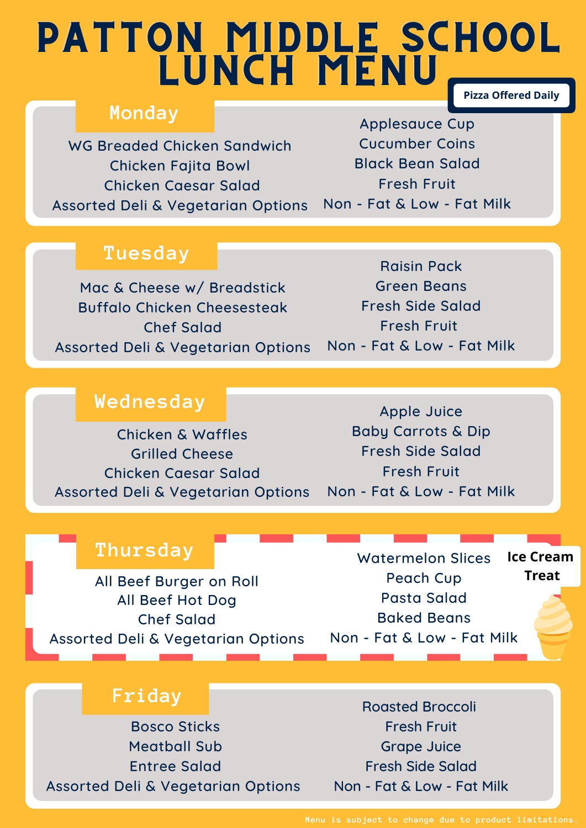### PATTON MIDDLE SCHOOL LUNCH MENU, **Pizza Offered Daily**

#### **Monday**

WG Breaded Chicken Sandwich Chicken Fajita Bowl Chicken Caesar Salad Assorted Deli & Vegetarian Options

Applesauce Cup Cucumber Coins Black Bean Salad Fresh Fruit Non - Fat & Low - Fat Milk

#### **Tuesday**

Mac & Cheese w/ Breadstick Buffalo Chicken Cheesesteak Chef Salad Assorted Deli & Vegetarian Options

Raisin Pack Green Beans Fresh Side Salad Fresh Fruit Non - Fat & Low - Fat Milk

#### **Wednesday**

Chicken & Waffles Grilled Cheese Chicken Caesar Salad Assorted Deli & Vegetarian Options

Apple Juice Baby Carrots & Dip Fresh Side Salad Fresh Fruit Non - Fat & Low - Fat Milk

#### **Thursday**

All Beef Burger on Roll All Beef Hot Dog Chef Salad Assorted Deli & Vegetarian Options

Watermelon Slices Peach Cup Pasta Salad Baked Beans Non - Fat & Low - Fat Milk **Ice Cream Treat**

#### **Friday**

Bosco Sticks Meatball Sub Entree Salad Assorted Deli & Vegetarian Options

Roasted Broccoli Fresh Fruit Grape Juice Fresh Side Salad Non - Fat & Low - Fat Milk